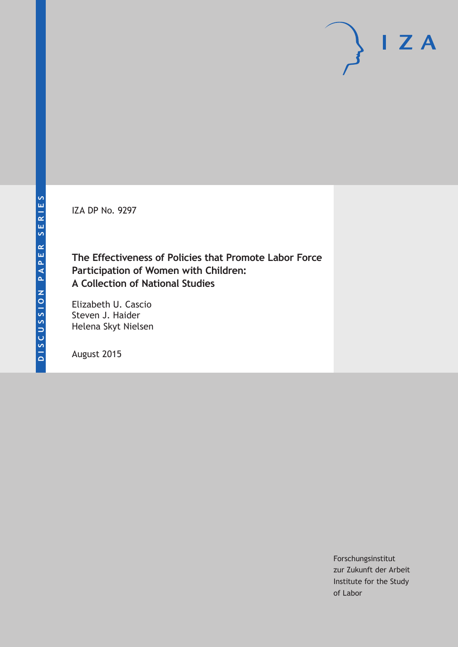IZA DP No. 9297

# **The Effectiveness of Policies that Promote Labor Force Participation of Women with Children: A Collection of National Studies**

Elizabeth U. Cascio Steven J. Haider Helena Skyt Nielsen

August 2015

Forschungsinstitut zur Zukunft der Arbeit Institute for the Study of Labor

 $I Z A$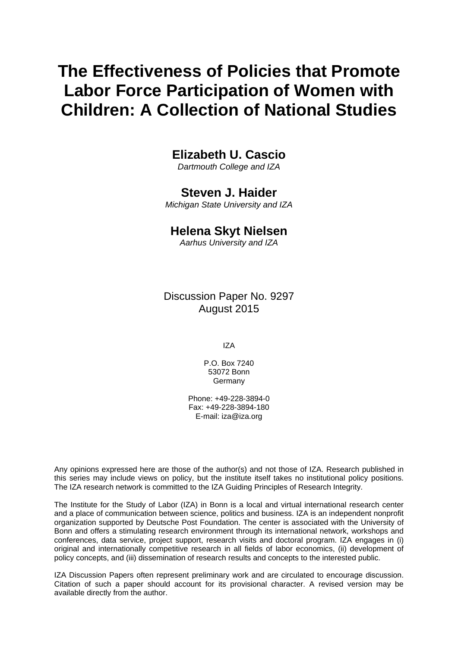# **The Effectiveness of Policies that Promote Labor Force Participation of Women with Children: A Collection of National Studies**

**Elizabeth U. Cascio** 

*Dartmouth College and IZA* 

**Steven J. Haider** 

*Michigan State University and IZA* 

### **Helena Skyt Nielsen**

*Aarhus University and IZA*

Discussion Paper No. 9297 August 2015

IZA

P.O. Box 7240 53072 Bonn Germany

Phone: +49-228-3894-0 Fax: +49-228-3894-180 E-mail: iza@iza.org

Any opinions expressed here are those of the author(s) and not those of IZA. Research published in this series may include views on policy, but the institute itself takes no institutional policy positions. The IZA research network is committed to the IZA Guiding Principles of Research Integrity.

The Institute for the Study of Labor (IZA) in Bonn is a local and virtual international research center and a place of communication between science, politics and business. IZA is an independent nonprofit organization supported by Deutsche Post Foundation. The center is associated with the University of Bonn and offers a stimulating research environment through its international network, workshops and conferences, data service, project support, research visits and doctoral program. IZA engages in (i) original and internationally competitive research in all fields of labor economics, (ii) development of policy concepts, and (iii) dissemination of research results and concepts to the interested public.

IZA Discussion Papers often represent preliminary work and are circulated to encourage discussion. Citation of such a paper should account for its provisional character. A revised version may be available directly from the author.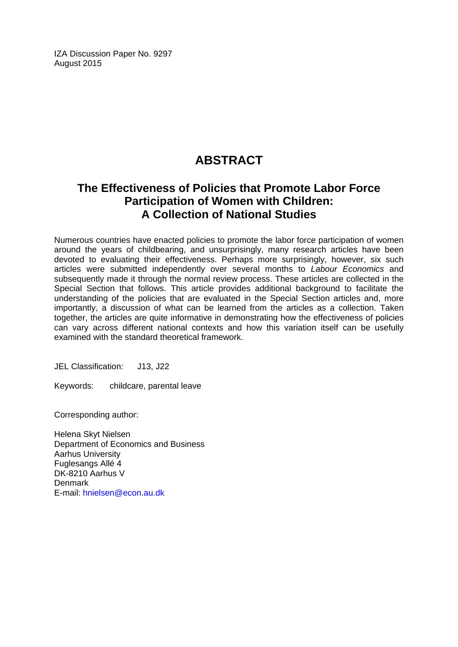IZA Discussion Paper No. 9297 August 2015

# **ABSTRACT**

# **The Effectiveness of Policies that Promote Labor Force Participation of Women with Children: A Collection of National Studies**

Numerous countries have enacted policies to promote the labor force participation of women around the years of childbearing, and unsurprisingly, many research articles have been devoted to evaluating their effectiveness. Perhaps more surprisingly, however, six such articles were submitted independently over several months to *Labour Economics* and subsequently made it through the normal review process. These articles are collected in the Special Section that follows. This article provides additional background to facilitate the understanding of the policies that are evaluated in the Special Section articles and, more importantly, a discussion of what can be learned from the articles as a collection. Taken together, the articles are quite informative in demonstrating how the effectiveness of policies can vary across different national contexts and how this variation itself can be usefully examined with the standard theoretical framework.

JEL Classification: J13, J22

Keywords: childcare, parental leave

Corresponding author:

Helena Skyt Nielsen Department of Economics and Business Aarhus University Fuglesangs Allé 4 DK-8210 Aarhus V Denmark E-mail: hnielsen@econ.au.dk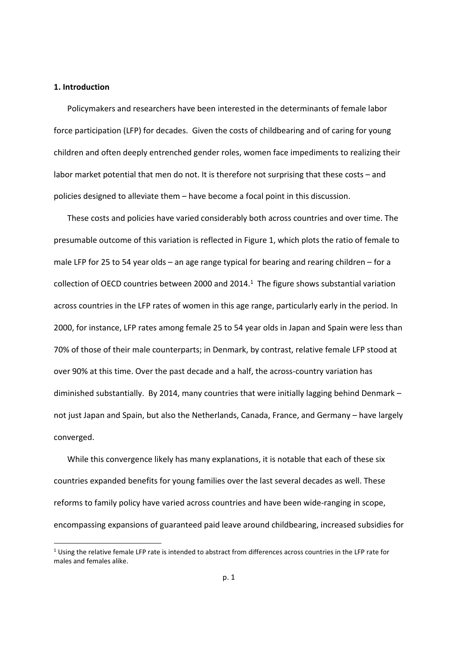#### **1. Introduction**

Policymakers and researchers have been interested in the determinants of female labor force participation (LFP) for decades. Given the costs of childbearing and of caring for young children and often deeply entrenched gender roles, women face impediments to realizing their labor market potential that men do not. It is therefore not surprising that these costs – and policies designed to alleviate them – have become a focal point in this discussion.

These costs and policies have varied considerably both across countries and over time. The presumable outcome of this variation is reflected in Figure 1, which plots the ratio of female to male LFP for 25 to 54 year olds – an age range typical for bearing and rearing children – for a collection of OECD countries between 2000 and 2014. $<sup>1</sup>$  The figure shows substantial variation</sup> across countries in the LFP rates of women in this age range, particularly early in the period. In 2000, for instance, LFP rates among female 25 to 54 year olds in Japan and Spain were less than 70% of those of their male counterparts; in Denmark, by contrast, relative female LFP stood at over 90% at this time. Over the past decade and a half, the across‐country variation has diminished substantially. By 2014, many countries that were initially lagging behind Denmark – not just Japan and Spain, but also the Netherlands, Canada, France, and Germany – have largely converged.

While this convergence likely has many explanations, it is notable that each of these six countries expanded benefits for young families over the last several decades as well. These reforms to family policy have varied across countries and have been wide-ranging in scope, encompassing expansions of guaranteed paid leave around childbearing, increased subsidies for

 $1$  Using the relative female LFP rate is intended to abstract from differences across countries in the LFP rate for males and females alike.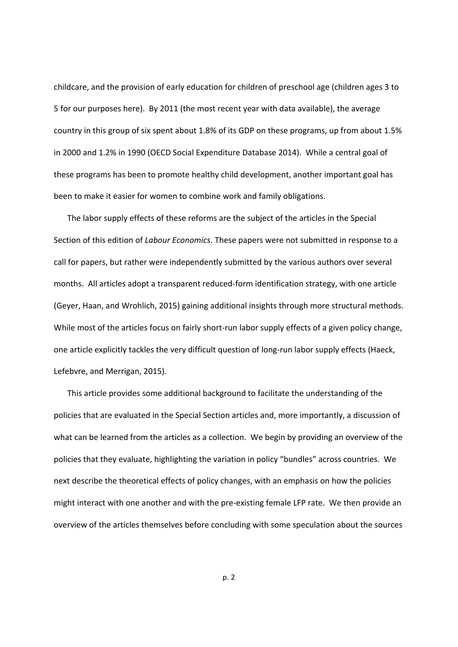childcare, and the provision of early education for children of preschool age (children ages 3 to 5 for our purposes here). By 2011 (the most recent year with data available), the average country in this group of six spent about 1.8% of its GDP on these programs, up from about 1.5% in 2000 and 1.2% in 1990 (OECD Social Expenditure Database 2014). While a central goal of these programs has been to promote healthy child development, another important goal has been to make it easier for women to combine work and family obligations.

The labor supply effects of these reforms are the subject of the articles in the Special Section of this edition of *Labour Economics*. These papers were not submitted in response to a call for papers, but rather were independently submitted by the various authors over several months. All articles adopt a transparent reduced‐form identification strategy, with one article (Geyer, Haan, and Wrohlich, 2015) gaining additional insights through more structural methods. While most of the articles focus on fairly short-run labor supply effects of a given policy change, one article explicitly tackles the very difficult question of long-run labor supply effects (Haeck, Lefebvre, and Merrigan, 2015).

This article provides some additional background to facilitate the understanding of the policies that are evaluated in the Special Section articles and, more importantly, a discussion of what can be learned from the articles as a collection. We begin by providing an overview of the policies that they evaluate, highlighting the variation in policy "bundles" across countries. We next describe the theoretical effects of policy changes, with an emphasis on how the policies might interact with one another and with the pre‐existing female LFP rate. We then provide an overview of the articles themselves before concluding with some speculation about the sources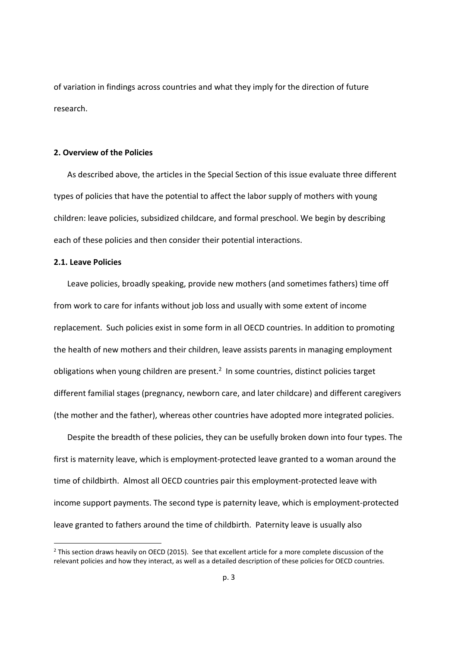of variation in findings across countries and what they imply for the direction of future research.

#### **2. Overview of the Policies**

As described above, the articles in the Special Section of this issue evaluate three different types of policies that have the potential to affect the labor supply of mothers with young children: leave policies, subsidized childcare, and formal preschool. We begin by describing each of these policies and then consider their potential interactions.

#### **2.1. Leave Policies**

Leave policies, broadly speaking, provide new mothers (and sometimes fathers) time off from work to care for infants without job loss and usually with some extent of income replacement. Such policies exist in some form in all OECD countries. In addition to promoting the health of new mothers and their children, leave assists parents in managing employment obligations when young children are present.<sup>2</sup> In some countries, distinct policies target different familial stages (pregnancy, newborn care, and later childcare) and different caregivers (the mother and the father), whereas other countries have adopted more integrated policies.

Despite the breadth of these policies, they can be usefully broken down into four types. The first is maternity leave, which is employment‐protected leave granted to a woman around the time of childbirth. Almost all OECD countries pair this employment‐protected leave with income support payments. The second type is paternity leave, which is employment‐protected leave granted to fathers around the time of childbirth. Paternity leave is usually also

<sup>&</sup>lt;sup>2</sup> This section draws heavily on OECD (2015). See that excellent article for a more complete discussion of the relevant policies and how they interact, as well as a detailed description of these policies for OECD countries.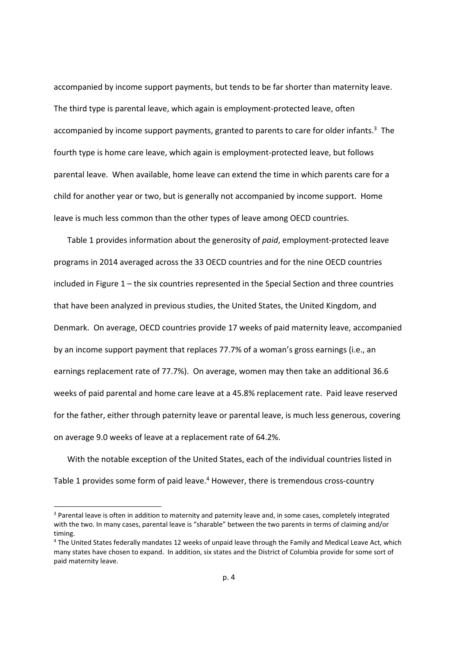accompanied by income support payments, but tends to be far shorter than maternity leave. The third type is parental leave, which again is employment‐protected leave, often accompanied by income support payments, granted to parents to care for older infants.<sup>3</sup> The fourth type is home care leave, which again is employment‐protected leave, but follows parental leave. When available, home leave can extend the time in which parents care for a child for another year or two, but is generally not accompanied by income support. Home leave is much less common than the other types of leave among OECD countries.

Table 1 provides information about the generosity of *paid*, employment‐protected leave programs in 2014 averaged across the 33 OECD countries and for the nine OECD countries included in Figure 1 – the six countries represented in the Special Section and three countries that have been analyzed in previous studies, the United States, the United Kingdom, and Denmark. On average, OECD countries provide 17 weeks of paid maternity leave, accompanied by an income support payment that replaces 77.7% of a woman's gross earnings (i.e., an earnings replacement rate of 77.7%). On average, women may then take an additional 36.6 weeks of paid parental and home care leave at a 45.8% replacement rate. Paid leave reserved for the father, either through paternity leave or parental leave, is much less generous, covering on average 9.0 weeks of leave at a replacement rate of 64.2%.

With the notable exception of the United States, each of the individual countries listed in Table 1 provides some form of paid leave.<sup>4</sup> However, there is tremendous cross-country

<sup>&</sup>lt;sup>3</sup> Parental leave is often in addition to maternity and paternity leave and, in some cases, completely integrated with the two. In many cases, parental leave is "sharable" between the two parents in terms of claiming and/or timing.

<sup>4</sup> The United States federally mandates 12 weeks of unpaid leave through the Family and Medical Leave Act, which many states have chosen to expand. In addition, six states and the District of Columbia provide for some sort of paid maternity leave.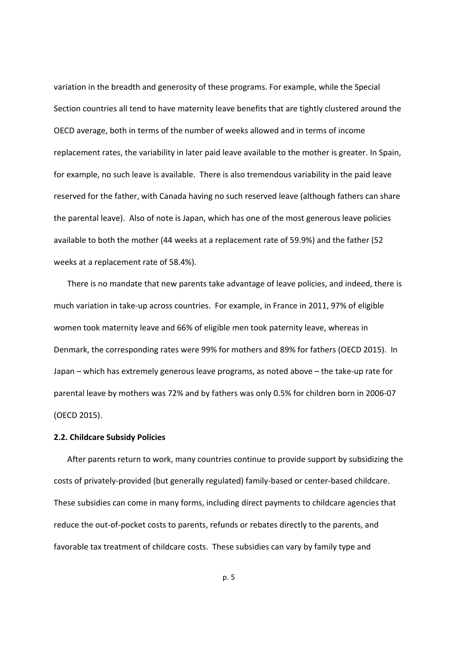variation in the breadth and generosity of these programs. For example, while the Special Section countries all tend to have maternity leave benefits that are tightly clustered around the OECD average, both in terms of the number of weeks allowed and in terms of income replacement rates, the variability in later paid leave available to the mother is greater. In Spain, for example, no such leave is available. There is also tremendous variability in the paid leave reserved for the father, with Canada having no such reserved leave (although fathers can share the parental leave). Also of note is Japan, which has one of the most generous leave policies available to both the mother (44 weeks at a replacement rate of 59.9%) and the father (52 weeks at a replacement rate of 58.4%).

There is no mandate that new parents take advantage of leave policies, and indeed, there is much variation in take‐up across countries. For example, in France in 2011, 97% of eligible women took maternity leave and 66% of eligible men took paternity leave, whereas in Denmark, the corresponding rates were 99% for mothers and 89% for fathers (OECD 2015). In Japan – which has extremely generous leave programs, as noted above – the take‐up rate for parental leave by mothers was 72% and by fathers was only 0.5% for children born in 2006‐07 (OECD 2015).

#### **2.2. Childcare Subsidy Policies**

After parents return to work, many countries continue to provide support by subsidizing the costs of privately‐provided (but generally regulated) family‐based or center‐based childcare. These subsidies can come in many forms, including direct payments to childcare agencies that reduce the out‐of‐pocket costs to parents, refunds or rebates directly to the parents, and favorable tax treatment of childcare costs. These subsidies can vary by family type and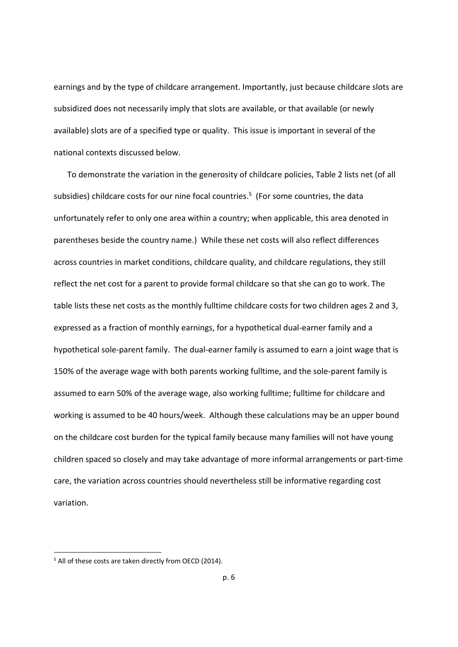earnings and by the type of childcare arrangement. Importantly, just because childcare slots are subsidized does not necessarily imply that slots are available, or that available (or newly available) slots are of a specified type or quality. This issue is important in several of the national contexts discussed below.

To demonstrate the variation in the generosity of childcare policies, Table 2 lists net (of all subsidies) childcare costs for our nine focal countries.<sup>5</sup> (For some countries, the data unfortunately refer to only one area within a country; when applicable, this area denoted in parentheses beside the country name.) While these net costs will also reflect differences across countries in market conditions, childcare quality, and childcare regulations, they still reflect the net cost for a parent to provide formal childcare so that she can go to work. The table lists these net costs as the monthly fulltime childcare costs for two children ages 2 and 3, expressed as a fraction of monthly earnings, for a hypothetical dual‐earner family and a hypothetical sole-parent family. The dual-earner family is assumed to earn a joint wage that is 150% of the average wage with both parents working fulltime, and the sole‐parent family is assumed to earn 50% of the average wage, also working fulltime; fulltime for childcare and working is assumed to be 40 hours/week. Although these calculations may be an upper bound on the childcare cost burden for the typical family because many families will not have young children spaced so closely and may take advantage of more informal arrangements or part‐time care, the variation across countries should nevertheless still be informative regarding cost variation.

<sup>&</sup>lt;sup>5</sup> All of these costs are taken directly from OECD (2014).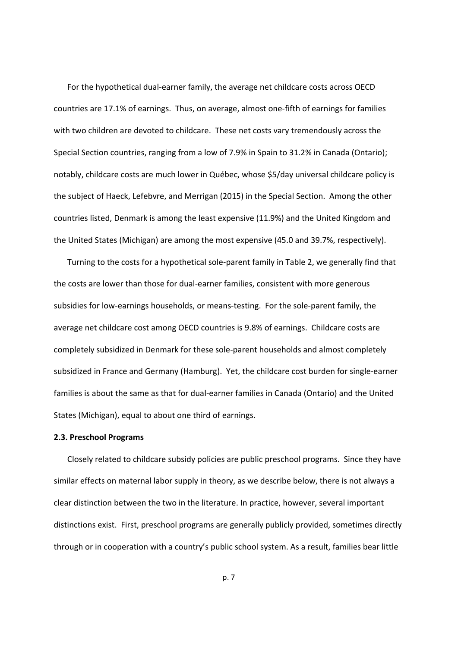For the hypothetical dual‐earner family, the average net childcare costs across OECD countries are 17.1% of earnings. Thus, on average, almost one‐fifth of earnings for families with two children are devoted to childcare. These net costs vary tremendously across the Special Section countries, ranging from a low of 7.9% in Spain to 31.2% in Canada (Ontario); notably, childcare costs are much lower in Québec, whose \$5/day universal childcare policy is the subject of Haeck, Lefebvre, and Merrigan (2015) in the Special Section. Among the other countries listed, Denmark is among the least expensive (11.9%) and the United Kingdom and the United States (Michigan) are among the most expensive (45.0 and 39.7%, respectively).

Turning to the costs for a hypothetical sole‐parent family in Table 2, we generally find that the costs are lower than those for dual‐earner families, consistent with more generous subsidies for low-earnings households, or means-testing. For the sole-parent family, the average net childcare cost among OECD countries is 9.8% of earnings. Childcare costs are completely subsidized in Denmark for these sole‐parent households and almost completely subsidized in France and Germany (Hamburg). Yet, the childcare cost burden for single-earner families is about the same as that for dual‐earner families in Canada (Ontario) and the United States (Michigan), equal to about one third of earnings.

#### **2.3. Preschool Programs**

Closely related to childcare subsidy policies are public preschool programs. Since they have similar effects on maternal labor supply in theory, as we describe below, there is not always a clear distinction between the two in the literature. In practice, however, several important distinctions exist. First, preschool programs are generally publicly provided, sometimes directly through or in cooperation with a country's public school system. As a result, families bear little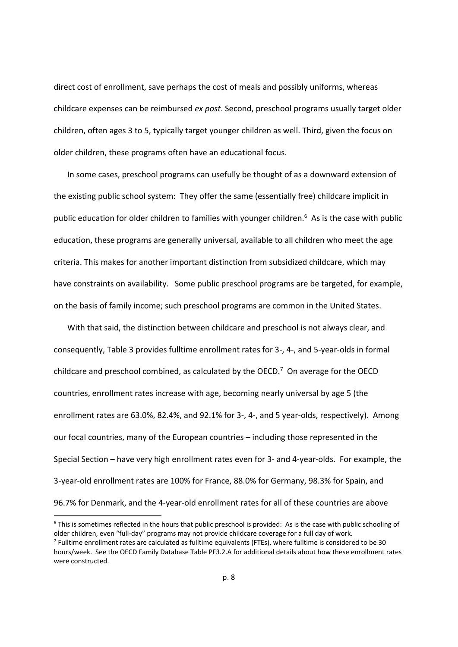direct cost of enrollment, save perhaps the cost of meals and possibly uniforms, whereas childcare expenses can be reimbursed *ex post*. Second, preschool programs usually target older children, often ages 3 to 5, typically target younger children as well. Third, given the focus on older children, these programs often have an educational focus.

In some cases, preschool programs can usefully be thought of as a downward extension of the existing public school system: They offer the same (essentially free) childcare implicit in public education for older children to families with younger children.<sup>6</sup> As is the case with public education, these programs are generally universal, available to all children who meet the age criteria. This makes for another important distinction from subsidized childcare, which may have constraints on availability. Some public preschool programs are be targeted, for example, on the basis of family income; such preschool programs are common in the United States.

With that said, the distinction between childcare and preschool is not always clear, and consequently, Table 3 provides fulltime enrollment rates for 3‐, 4‐, and 5‐year‐olds in formal childcare and preschool combined, as calculated by the OECD.<sup>7</sup> On average for the OECD countries, enrollment rates increase with age, becoming nearly universal by age 5 (the enrollment rates are 63.0%, 82.4%, and 92.1% for 3-, 4-, and 5 year-olds, respectively). Among our focal countries, many of the European countries – including those represented in the Special Section – have very high enrollment rates even for 3‐ and 4‐year‐olds. For example, the 3‐year‐old enrollment rates are 100% for France, 88.0% for Germany, 98.3% for Spain, and 96.7% for Denmark, and the 4‐year‐old enrollment rates for all of these countries are above

<sup>&</sup>lt;sup>6</sup> This is sometimes reflected in the hours that public preschool is provided: As is the case with public schooling of older children, even "full‐day" programs may not provide childcare coverage for a full day of work.  $7$  Fulltime enrollment rates are calculated as fulltime equivalents (FTEs), where fulltime is considered to be 30 hours/week. See the OECD Family Database Table PF3.2.A for additional details about how these enrollment rates were constructed.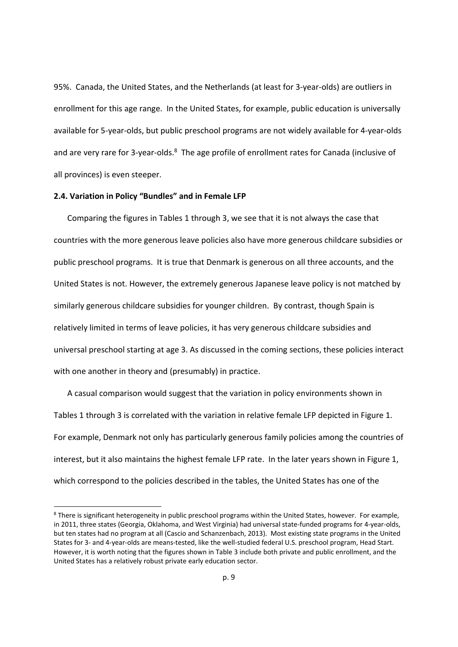95%. Canada, the United States, and the Netherlands (at least for 3‐year‐olds) are outliers in enrollment for this age range. In the United States, for example, public education is universally available for 5‐year‐olds, but public preschool programs are not widely available for 4‐year‐olds and are very rare for 3-year-olds.<sup>8</sup> The age profile of enrollment rates for Canada (inclusive of all provinces) is even steeper.

#### **2.4. Variation in Policy "Bundles" and in Female LFP**

Comparing the figures in Tables 1 through 3, we see that it is not always the case that countries with the more generous leave policies also have more generous childcare subsidies or public preschool programs. It is true that Denmark is generous on all three accounts, and the United States is not. However, the extremely generous Japanese leave policy is not matched by similarly generous childcare subsidies for younger children. By contrast, though Spain is relatively limited in terms of leave policies, it has very generous childcare subsidies and universal preschool starting at age 3. As discussed in the coming sections, these policies interact with one another in theory and (presumably) in practice.

A casual comparison would suggest that the variation in policy environments shown in Tables 1 through 3 is correlated with the variation in relative female LFP depicted in Figure 1. For example, Denmark not only has particularly generous family policies among the countries of interest, but it also maintains the highest female LFP rate. In the later years shown in Figure 1, which correspond to the policies described in the tables, the United States has one of the

<sup>&</sup>lt;sup>8</sup> There is significant heterogeneity in public preschool programs within the United States, however. For example, in 2011, three states (Georgia, Oklahoma, and West Virginia) had universal state-funded programs for 4-year-olds, but ten states had no program at all (Cascio and Schanzenbach, 2013). Most existing state programs in the United States for 3‐ and 4‐year‐olds are means‐tested, like the well‐studied federal U.S. preschool program, Head Start. However, it is worth noting that the figures shown in Table 3 include both private and public enrollment, and the United States has a relatively robust private early education sector.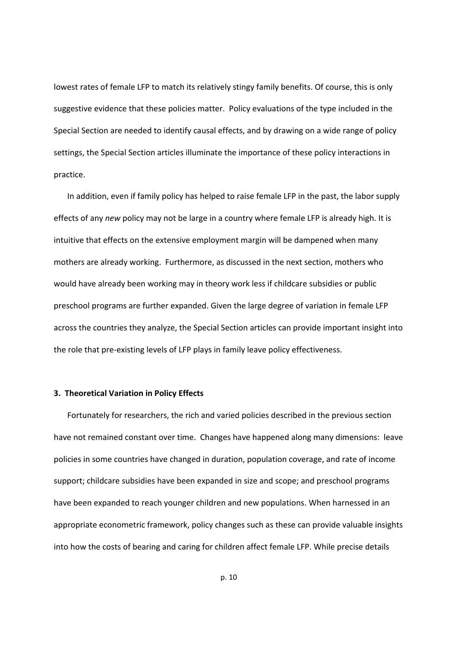lowest rates of female LFP to match its relatively stingy family benefits. Of course, this is only suggestive evidence that these policies matter. Policy evaluations of the type included in the Special Section are needed to identify causal effects, and by drawing on a wide range of policy settings, the Special Section articles illuminate the importance of these policy interactions in practice.

In addition, even if family policy has helped to raise female LFP in the past, the labor supply effects of any *new* policy may not be large in a country where female LFP is already high. It is intuitive that effects on the extensive employment margin will be dampened when many mothers are already working. Furthermore, as discussed in the next section, mothers who would have already been working may in theory work less if childcare subsidies or public preschool programs are further expanded. Given the large degree of variation in female LFP across the countries they analyze, the Special Section articles can provide important insight into the role that pre‐existing levels of LFP plays in family leave policy effectiveness.

#### **3. Theoretical Variation in Policy Effects**

Fortunately for researchers, the rich and varied policies described in the previous section have not remained constant over time. Changes have happened along many dimensions: leave policies in some countries have changed in duration, population coverage, and rate of income support; childcare subsidies have been expanded in size and scope; and preschool programs have been expanded to reach younger children and new populations. When harnessed in an appropriate econometric framework, policy changes such as these can provide valuable insights into how the costs of bearing and caring for children affect female LFP. While precise details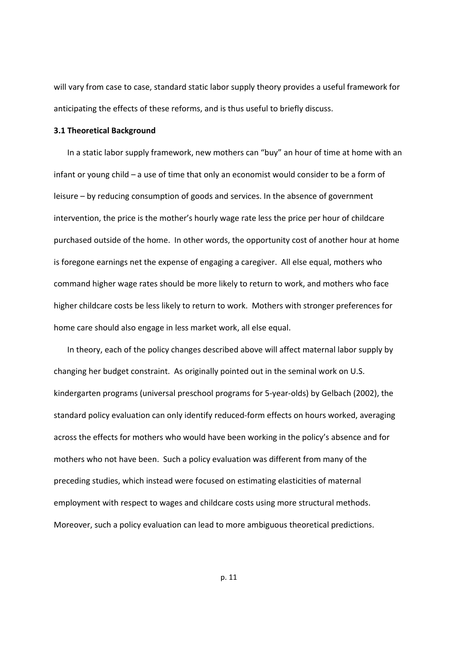will vary from case to case, standard static labor supply theory provides a useful framework for anticipating the effects of these reforms, and is thus useful to briefly discuss.

#### **3.1 Theoretical Background**

In a static labor supply framework, new mothers can "buy" an hour of time at home with an infant or young child – a use of time that only an economist would consider to be a form of leisure – by reducing consumption of goods and services. In the absence of government intervention, the price is the mother's hourly wage rate less the price per hour of childcare purchased outside of the home. In other words, the opportunity cost of another hour at home is foregone earnings net the expense of engaging a caregiver. All else equal, mothers who command higher wage rates should be more likely to return to work, and mothers who face higher childcare costs be less likely to return to work. Mothers with stronger preferences for home care should also engage in less market work, all else equal.

In theory, each of the policy changes described above will affect maternal labor supply by changing her budget constraint. As originally pointed out in the seminal work on U.S. kindergarten programs (universal preschool programs for 5‐year‐olds) by Gelbach (2002), the standard policy evaluation can only identify reduced‐form effects on hours worked, averaging across the effects for mothers who would have been working in the policy's absence and for mothers who not have been. Such a policy evaluation was different from many of the preceding studies, which instead were focused on estimating elasticities of maternal employment with respect to wages and childcare costs using more structural methods. Moreover, such a policy evaluation can lead to more ambiguous theoretical predictions.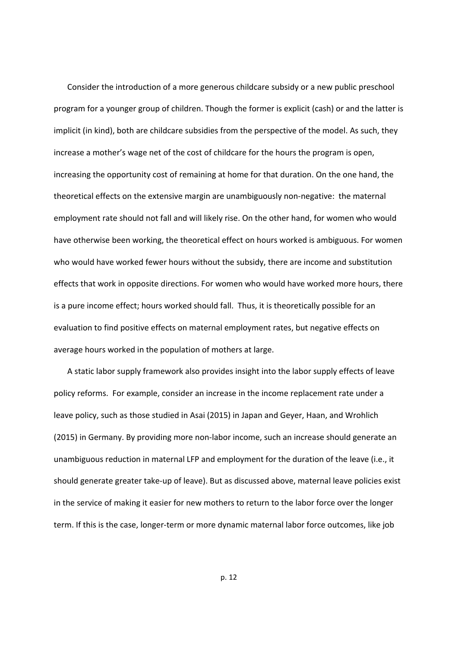Consider the introduction of a more generous childcare subsidy or a new public preschool program for a younger group of children. Though the former is explicit (cash) or and the latter is implicit (in kind), both are childcare subsidies from the perspective of the model. As such, they increase a mother's wage net of the cost of childcare for the hours the program is open, increasing the opportunity cost of remaining at home for that duration. On the one hand, the theoretical effects on the extensive margin are unambiguously non‐negative: the maternal employment rate should not fall and will likely rise. On the other hand, for women who would have otherwise been working, the theoretical effect on hours worked is ambiguous. For women who would have worked fewer hours without the subsidy, there are income and substitution effects that work in opposite directions. For women who would have worked more hours, there is a pure income effect; hours worked should fall. Thus, it is theoretically possible for an evaluation to find positive effects on maternal employment rates, but negative effects on average hours worked in the population of mothers at large.

A static labor supply framework also provides insight into the labor supply effects of leave policy reforms. For example, consider an increase in the income replacement rate under a leave policy, such as those studied in Asai (2015) in Japan and Geyer, Haan, and Wrohlich (2015) in Germany. By providing more non‐labor income, such an increase should generate an unambiguous reduction in maternal LFP and employment for the duration of the leave (i.e., it should generate greater take‐up of leave). But as discussed above, maternal leave policies exist in the service of making it easier for new mothers to return to the labor force over the longer term. If this is the case, longer‐term or more dynamic maternal labor force outcomes, like job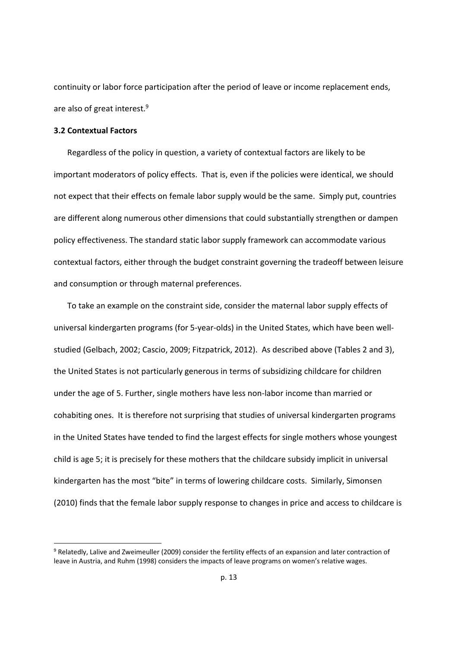continuity or labor force participation after the period of leave or income replacement ends, are also of great interest.9

#### **3.2 Contextual Factors**

Regardless of the policy in question, a variety of contextual factors are likely to be important moderators of policy effects. That is, even if the policies were identical, we should not expect that their effects on female labor supply would be the same. Simply put, countries are different along numerous other dimensions that could substantially strengthen or dampen policy effectiveness. The standard static labor supply framework can accommodate various contextual factors, either through the budget constraint governing the tradeoff between leisure and consumption or through maternal preferences.

To take an example on the constraint side, consider the maternal labor supply effects of universal kindergarten programs (for 5‐year‐olds) in the United States, which have been well‐ studied (Gelbach, 2002; Cascio, 2009; Fitzpatrick, 2012). As described above (Tables 2 and 3), the United States is not particularly generous in terms of subsidizing childcare for children under the age of 5. Further, single mothers have less non‐labor income than married or cohabiting ones. It is therefore not surprising that studies of universal kindergarten programs in the United States have tended to find the largest effects for single mothers whose youngest child is age 5; it is precisely for these mothers that the childcare subsidy implicit in universal kindergarten has the most "bite" in terms of lowering childcare costs. Similarly, Simonsen (2010) finds that the female labor supply response to changes in price and access to childcare is

<sup>9</sup> Relatedly, Lalive and Zweimeuller (2009) consider the fertility effects of an expansion and later contraction of leave in Austria, and Ruhm (1998) considers the impacts of leave programs on women's relative wages.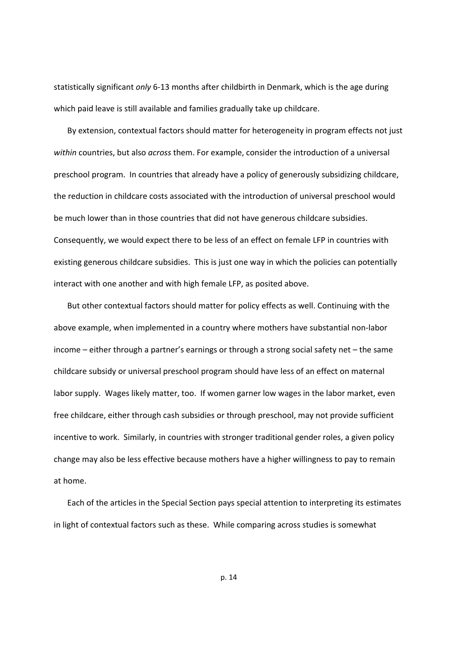statistically significant *only* 6‐13 months after childbirth in Denmark, which is the age during which paid leave is still available and families gradually take up childcare.

By extension, contextual factors should matter for heterogeneity in program effects not just *within* countries, but also *across* them. For example, consider the introduction of a universal preschool program. In countries that already have a policy of generously subsidizing childcare, the reduction in childcare costs associated with the introduction of universal preschool would be much lower than in those countries that did not have generous childcare subsidies. Consequently, we would expect there to be less of an effect on female LFP in countries with existing generous childcare subsidies. This is just one way in which the policies can potentially interact with one another and with high female LFP, as posited above.

But other contextual factors should matter for policy effects as well. Continuing with the above example, when implemented in a country where mothers have substantial non‐labor income – either through a partner's earnings or through a strong social safety net – the same childcare subsidy or universal preschool program should have less of an effect on maternal labor supply. Wages likely matter, too. If women garner low wages in the labor market, even free childcare, either through cash subsidies or through preschool, may not provide sufficient incentive to work. Similarly, in countries with stronger traditional gender roles, a given policy change may also be less effective because mothers have a higher willingness to pay to remain at home.

Each of the articles in the Special Section pays special attention to interpreting its estimates in light of contextual factors such as these. While comparing across studies is somewhat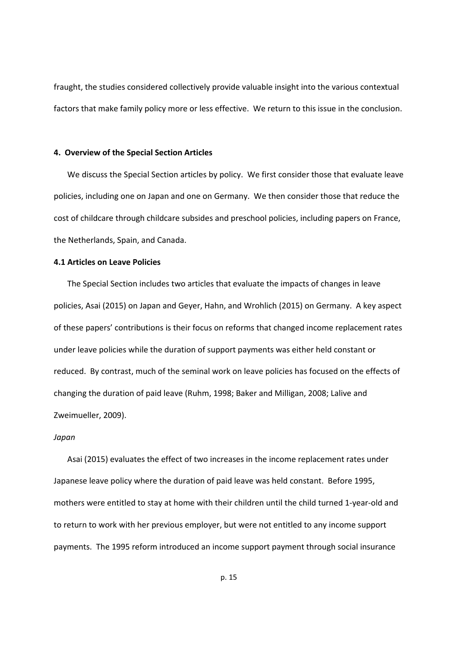fraught, the studies considered collectively provide valuable insight into the various contextual factors that make family policy more or less effective. We return to this issue in the conclusion.

#### **4. Overview of the Special Section Articles**

We discuss the Special Section articles by policy. We first consider those that evaluate leave policies, including one on Japan and one on Germany. We then consider those that reduce the cost of childcare through childcare subsides and preschool policies, including papers on France, the Netherlands, Spain, and Canada.

#### **4.1 Articles on Leave Policies**

The Special Section includes two articles that evaluate the impacts of changes in leave policies, Asai (2015) on Japan and Geyer, Hahn, and Wrohlich (2015) on Germany. A key aspect of these papers' contributions is their focus on reforms that changed income replacement rates under leave policies while the duration of support payments was either held constant or reduced. By contrast, much of the seminal work on leave policies has focused on the effects of changing the duration of paid leave (Ruhm, 1998; Baker and Milligan, 2008; Lalive and Zweimueller, 2009).

#### *Japan*

Asai (2015) evaluates the effect of two increases in the income replacement rates under Japanese leave policy where the duration of paid leave was held constant. Before 1995, mothers were entitled to stay at home with their children until the child turned 1‐year‐old and to return to work with her previous employer, but were not entitled to any income support payments. The 1995 reform introduced an income support payment through social insurance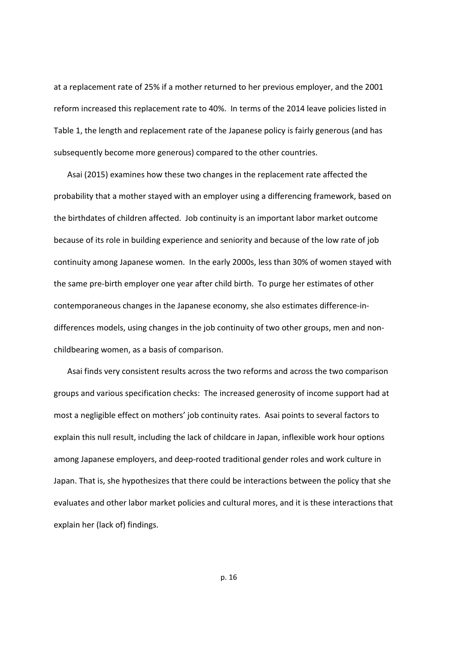at a replacement rate of 25% if a mother returned to her previous employer, and the 2001 reform increased this replacement rate to 40%. In terms of the 2014 leave policies listed in Table 1, the length and replacement rate of the Japanese policy is fairly generous (and has subsequently become more generous) compared to the other countries.

Asai (2015) examines how these two changes in the replacement rate affected the probability that a mother stayed with an employer using a differencing framework, based on the birthdates of children affected. Job continuity is an important labor market outcome because of its role in building experience and seniority and because of the low rate of job continuity among Japanese women. In the early 2000s, less than 30% of women stayed with the same pre‐birth employer one year after child birth. To purge her estimates of other contemporaneous changes in the Japanese economy, she also estimates difference‐in‐ differences models, using changes in the job continuity of two other groups, men and non‐ childbearing women, as a basis of comparison.

Asai finds very consistent results across the two reforms and across the two comparison groups and various specification checks: The increased generosity of income support had at most a negligible effect on mothers' job continuity rates. Asai points to several factors to explain this null result, including the lack of childcare in Japan, inflexible work hour options among Japanese employers, and deep‐rooted traditional gender roles and work culture in Japan. That is, she hypothesizes that there could be interactions between the policy that she evaluates and other labor market policies and cultural mores, and it is these interactions that explain her (lack of) findings.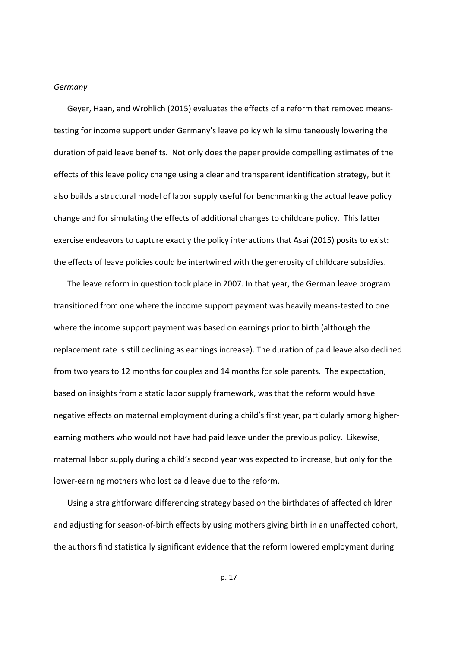#### *Germany*

Geyer, Haan, and Wrohlich (2015) evaluates the effects of a reform that removed means‐ testing for income support under Germany's leave policy while simultaneously lowering the duration of paid leave benefits. Not only does the paper provide compelling estimates of the effects of this leave policy change using a clear and transparent identification strategy, but it also builds a structural model of labor supply useful for benchmarking the actual leave policy change and for simulating the effects of additional changes to childcare policy. This latter exercise endeavors to capture exactly the policy interactions that Asai (2015) posits to exist: the effects of leave policies could be intertwined with the generosity of childcare subsidies.

The leave reform in question took place in 2007. In that year, the German leave program transitioned from one where the income support payment was heavily means‐tested to one where the income support payment was based on earnings prior to birth (although the replacement rate is still declining as earnings increase). The duration of paid leave also declined from two years to 12 months for couples and 14 months for sole parents. The expectation, based on insights from a static labor supply framework, was that the reform would have negative effects on maternal employment during a child's first year, particularly among higher‐ earning mothers who would not have had paid leave under the previous policy. Likewise, maternal labor supply during a child's second year was expected to increase, but only for the lower-earning mothers who lost paid leave due to the reform.

Using a straightforward differencing strategy based on the birthdates of affected children and adjusting for season-of-birth effects by using mothers giving birth in an unaffected cohort, the authors find statistically significant evidence that the reform lowered employment during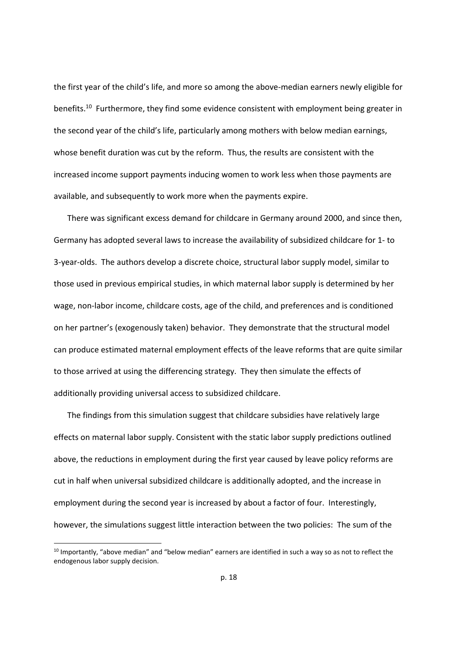the first year of the child's life, and more so among the above‐median earners newly eligible for benefits.<sup>10</sup> Furthermore, they find some evidence consistent with employment being greater in the second year of the child's life, particularly among mothers with below median earnings, whose benefit duration was cut by the reform. Thus, the results are consistent with the increased income support payments inducing women to work less when those payments are available, and subsequently to work more when the payments expire.

There was significant excess demand for childcare in Germany around 2000, and since then, Germany has adopted several laws to increase the availability of subsidized childcare for 1‐ to 3-year-olds. The authors develop a discrete choice, structural labor supply model, similar to those used in previous empirical studies, in which maternal labor supply is determined by her wage, non-labor income, childcare costs, age of the child, and preferences and is conditioned on her partner's (exogenously taken) behavior. They demonstrate that the structural model can produce estimated maternal employment effects of the leave reforms that are quite similar to those arrived at using the differencing strategy. They then simulate the effects of additionally providing universal access to subsidized childcare.

The findings from this simulation suggest that childcare subsidies have relatively large effects on maternal labor supply. Consistent with the static labor supply predictions outlined above, the reductions in employment during the first year caused by leave policy reforms are cut in half when universal subsidized childcare is additionally adopted, and the increase in employment during the second year is increased by about a factor of four. Interestingly, however, the simulations suggest little interaction between the two policies: The sum of the

 $10$  Importantly, "above median" and "below median" earners are identified in such a way so as not to reflect the endogenous labor supply decision.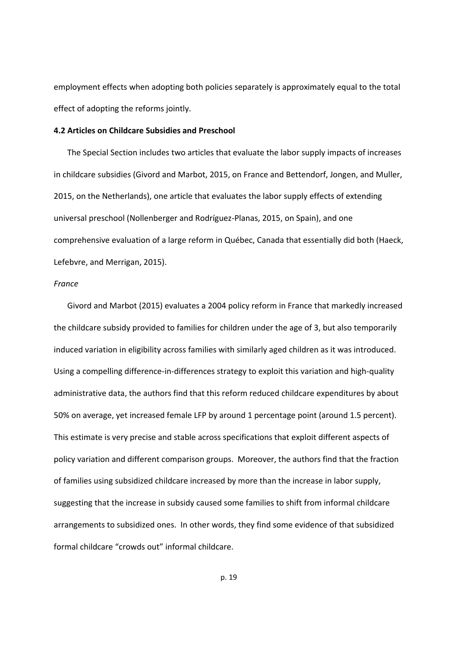employment effects when adopting both policies separately is approximately equal to the total effect of adopting the reforms jointly.

#### **4.2 Articles on Childcare Subsidies and Preschool**

The Special Section includes two articles that evaluate the labor supply impacts of increases in childcare subsidies (Givord and Marbot, 2015, on France and Bettendorf, Jongen, and Muller, 2015, on the Netherlands), one article that evaluates the labor supply effects of extending universal preschool (Nollenberger and Rodríguez‐Planas, 2015, on Spain), and one comprehensive evaluation of a large reform in Québec, Canada that essentially did both (Haeck, Lefebvre, and Merrigan, 2015).

#### *France*

Givord and Marbot (2015) evaluates a 2004 policy reform in France that markedly increased the childcare subsidy provided to families for children under the age of 3, but also temporarily induced variation in eligibility across families with similarly aged children as it was introduced. Using a compelling difference-in-differences strategy to exploit this variation and high-quality administrative data, the authors find that this reform reduced childcare expenditures by about 50% on average, yet increased female LFP by around 1 percentage point (around 1.5 percent). This estimate is very precise and stable across specifications that exploit different aspects of policy variation and different comparison groups. Moreover, the authors find that the fraction of families using subsidized childcare increased by more than the increase in labor supply, suggesting that the increase in subsidy caused some families to shift from informal childcare arrangements to subsidized ones. In other words, they find some evidence of that subsidized formal childcare "crowds out" informal childcare.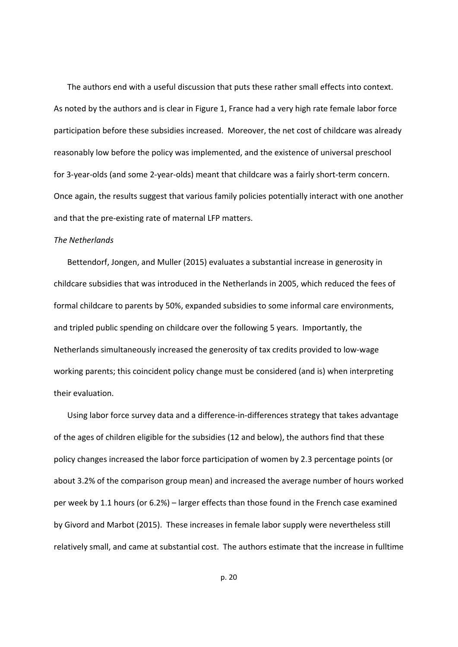The authors end with a useful discussion that puts these rather small effects into context. As noted by the authors and is clear in Figure 1, France had a very high rate female labor force participation before these subsidies increased. Moreover, the net cost of childcare was already reasonably low before the policy was implemented, and the existence of universal preschool for 3‐year‐olds (and some 2‐year‐olds) meant that childcare was a fairly short‐term concern. Once again, the results suggest that various family policies potentially interact with one another and that the pre‐existing rate of maternal LFP matters.

#### *The Netherlands*

Bettendorf, Jongen, and Muller (2015) evaluates a substantial increase in generosity in childcare subsidies that was introduced in the Netherlands in 2005, which reduced the fees of formal childcare to parents by 50%, expanded subsidies to some informal care environments, and tripled public spending on childcare over the following 5 years. Importantly, the Netherlands simultaneously increased the generosity of tax credits provided to low‐wage working parents; this coincident policy change must be considered (and is) when interpreting their evaluation.

Using labor force survey data and a difference‐in‐differences strategy that takes advantage of the ages of children eligible for the subsidies (12 and below), the authors find that these policy changes increased the labor force participation of women by 2.3 percentage points (or about 3.2% of the comparison group mean) and increased the average number of hours worked per week by 1.1 hours (or 6.2%) – larger effects than those found in the French case examined by Givord and Marbot (2015). These increases in female labor supply were nevertheless still relatively small, and came at substantial cost. The authors estimate that the increase in fulltime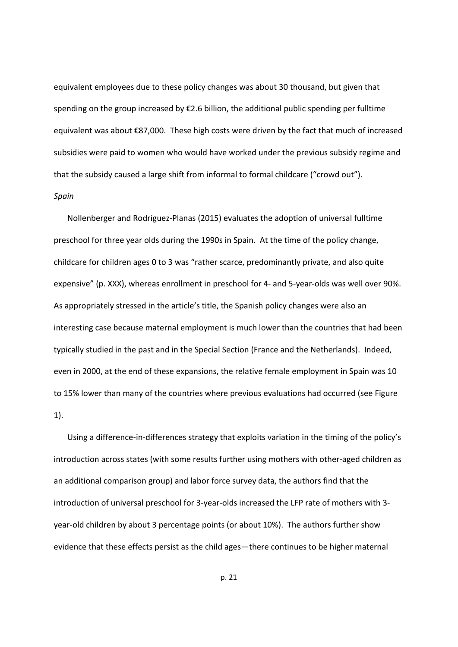equivalent employees due to these policy changes was about 30 thousand, but given that spending on the group increased by €2.6 billion, the additional public spending per fulltime equivalent was about €87,000. These high costs were driven by the fact that much of increased subsidies were paid to women who would have worked under the previous subsidy regime and that the subsidy caused a large shift from informal to formal childcare ("crowd out"). *Spain*

Nollenberger and Rodríguez‐Planas (2015) evaluates the adoption of universal fulltime preschool for three year olds during the 1990s in Spain. At the time of the policy change, childcare for children ages 0 to 3 was "rather scarce, predominantly private, and also quite expensive" (p. XXX), whereas enrollment in preschool for 4‐ and 5‐year‐olds was well over 90%. As appropriately stressed in the article's title, the Spanish policy changes were also an interesting case because maternal employment is much lower than the countries that had been typically studied in the past and in the Special Section (France and the Netherlands). Indeed, even in 2000, at the end of these expansions, the relative female employment in Spain was 10 to 15% lower than many of the countries where previous evaluations had occurred (see Figure 1).

Using a difference-in-differences strategy that exploits variation in the timing of the policy's introduction across states (with some results further using mothers with other-aged children as an additional comparison group) and labor force survey data, the authors find that the introduction of universal preschool for 3‐year‐olds increased the LFP rate of mothers with 3‐ year-old children by about 3 percentage points (or about 10%). The authors further show evidence that these effects persist as the child ages—there continues to be higher maternal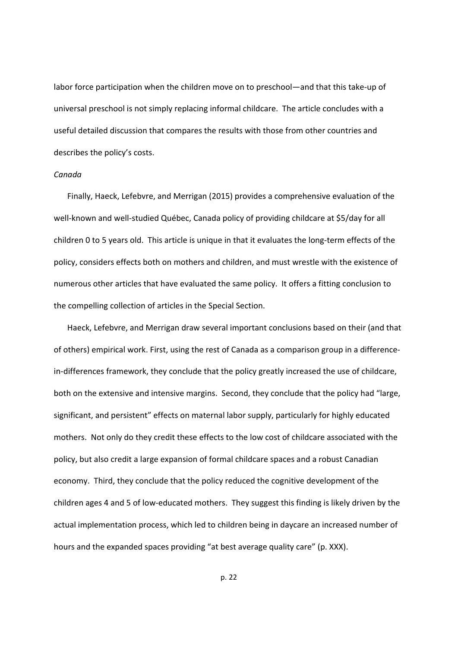labor force participation when the children move on to preschool—and that this take-up of universal preschool is not simply replacing informal childcare. The article concludes with a useful detailed discussion that compares the results with those from other countries and describes the policy's costs.

#### *Canada*

Finally, Haeck, Lefebvre, and Merrigan (2015) provides a comprehensive evaluation of the well-known and well-studied Québec, Canada policy of providing childcare at \$5/day for all children 0 to 5 years old. This article is unique in that it evaluates the long-term effects of the policy, considers effects both on mothers and children, and must wrestle with the existence of numerous other articles that have evaluated the same policy. It offers a fitting conclusion to the compelling collection of articles in the Special Section.

Haeck, Lefebvre, and Merrigan draw several important conclusions based on their (and that of others) empirical work. First, using the rest of Canada as a comparison group in a difference‐ in-differences framework, they conclude that the policy greatly increased the use of childcare, both on the extensive and intensive margins. Second, they conclude that the policy had "large, significant, and persistent" effects on maternal labor supply, particularly for highly educated mothers. Not only do they credit these effects to the low cost of childcare associated with the policy, but also credit a large expansion of formal childcare spaces and a robust Canadian economy. Third, they conclude that the policy reduced the cognitive development of the children ages 4 and 5 of low‐educated mothers. They suggest this finding is likely driven by the actual implementation process, which led to children being in daycare an increased number of hours and the expanded spaces providing "at best average quality care" (p. XXX).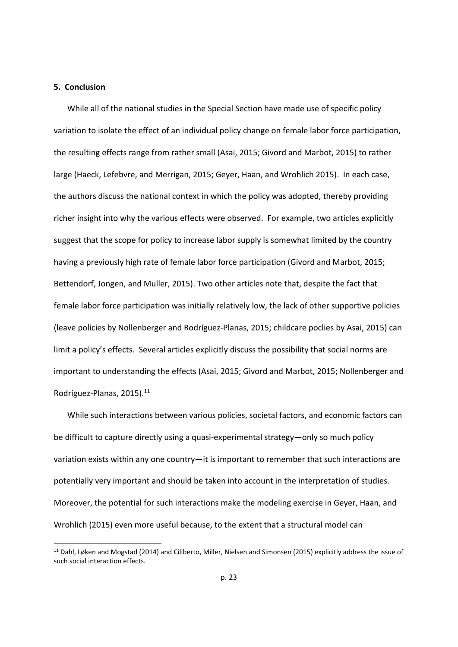#### **5. Conclusion**

While all of the national studies in the Special Section have made use of specific policy variation to isolate the effect of an individual policy change on female labor force participation, the resulting effects range from rather small (Asai, 2015; Givord and Marbot, 2015) to rather large (Haeck, Lefebvre, and Merrigan, 2015; Geyer, Haan, and Wrohlich 2015). In each case, the authors discuss the national context in which the policy was adopted, thereby providing richer insight into why the various effects were observed. For example, two articles explicitly suggest that the scope for policy to increase labor supply is somewhat limited by the country having a previously high rate of female labor force participation (Givord and Marbot, 2015; Bettendorf, Jongen, and Muller, 2015). Two other articles note that, despite the fact that female labor force participation was initially relatively low, the lack of other supportive policies (leave policies by Nollenberger and Rodríguez‐Planas, 2015; childcare poclies by Asai, 2015) can limit a policy's effects. Several articles explicitly discuss the possibility that social norms are important to understanding the effects (Asai, 2015; Givord and Marbot, 2015; Nollenberger and Rodríguez-Planas, 2015).<sup>11</sup>

While such interactions between various policies, societal factors, and economic factors can be difficult to capture directly using a quasi‐experimental strategy—only so much policy variation exists within any one country—it is important to remember that such interactions are potentially very important and should be taken into account in the interpretation of studies. Moreover, the potential for such interactions make the modeling exercise in Geyer, Haan, and Wrohlich (2015) even more useful because, to the extent that a structural model can

<sup>&</sup>lt;sup>11</sup> Dahl, Løken and Mogstad (2014) and Ciliberto, Miller, Nielsen and Simonsen (2015) explicitly address the issue of such social interaction effects.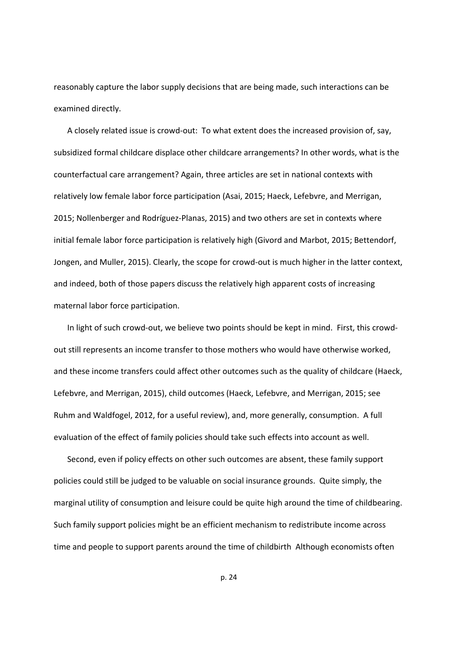reasonably capture the labor supply decisions that are being made, such interactions can be examined directly.

A closely related issue is crowd‐out: To what extent does the increased provision of, say, subsidized formal childcare displace other childcare arrangements? In other words, what is the counterfactual care arrangement? Again, three articles are set in national contexts with relatively low female labor force participation (Asai, 2015; Haeck, Lefebvre, and Merrigan, 2015; Nollenberger and Rodríguez‐Planas, 2015) and two others are set in contexts where initial female labor force participation is relatively high (Givord and Marbot, 2015; Bettendorf, Jongen, and Muller, 2015). Clearly, the scope for crowd‐out is much higher in the latter context, and indeed, both of those papers discuss the relatively high apparent costs of increasing maternal labor force participation.

In light of such crowd‐out, we believe two points should be kept in mind. First, this crowd‐ out still represents an income transfer to those mothers who would have otherwise worked, and these income transfers could affect other outcomes such as the quality of childcare (Haeck, Lefebvre, and Merrigan, 2015), child outcomes (Haeck, Lefebvre, and Merrigan, 2015; see Ruhm and Waldfogel, 2012, for a useful review), and, more generally, consumption. A full evaluation of the effect of family policies should take such effects into account as well.

Second, even if policy effects on other such outcomes are absent, these family support policies could still be judged to be valuable on social insurance grounds. Quite simply, the marginal utility of consumption and leisure could be quite high around the time of childbearing. Such family support policies might be an efficient mechanism to redistribute income across time and people to support parents around the time of childbirth Although economists often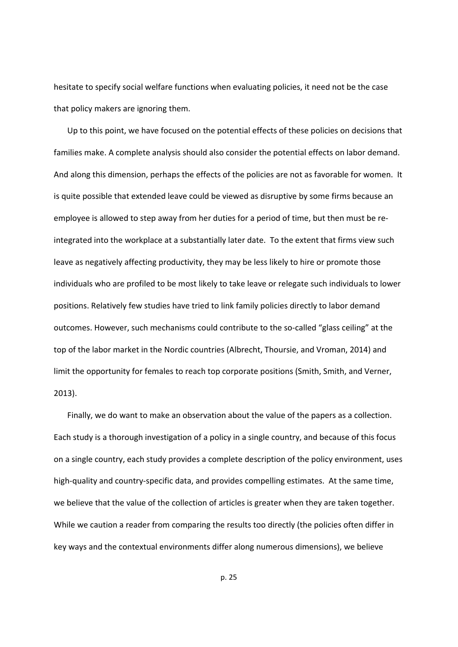hesitate to specify social welfare functions when evaluating policies, it need not be the case that policy makers are ignoring them.

Up to this point, we have focused on the potential effects of these policies on decisions that families make. A complete analysis should also consider the potential effects on labor demand. And along this dimension, perhaps the effects of the policies are not as favorable for women. It is quite possible that extended leave could be viewed as disruptive by some firms because an employee is allowed to step away from her duties for a period of time, but then must be re‐ integrated into the workplace at a substantially later date. To the extent that firms view such leave as negatively affecting productivity, they may be less likely to hire or promote those individuals who are profiled to be most likely to take leave or relegate such individuals to lower positions. Relatively few studies have tried to link family policies directly to labor demand outcomes. However, such mechanisms could contribute to the so-called "glass ceiling" at the top of the labor market in the Nordic countries (Albrecht, Thoursie, and Vroman, 2014) and limit the opportunity for females to reach top corporate positions (Smith, Smith, and Verner, 2013).

Finally, we do want to make an observation about the value of the papers as a collection. Each study is a thorough investigation of a policy in a single country, and because of this focus on a single country, each study provides a complete description of the policy environment, uses high-quality and country-specific data, and provides compelling estimates. At the same time, we believe that the value of the collection of articles is greater when they are taken together. While we caution a reader from comparing the results too directly (the policies often differ in key ways and the contextual environments differ along numerous dimensions), we believe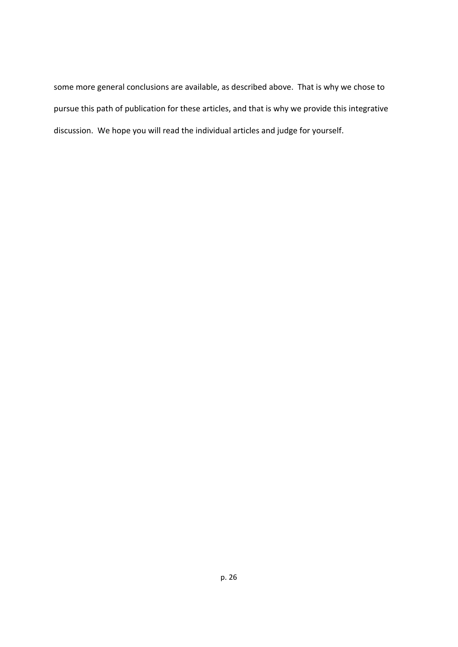some more general conclusions are available, as described above. That is why we chose to pursue this path of publication for these articles, and that is why we provide this integrative discussion. We hope you will read the individual articles and judge for yourself.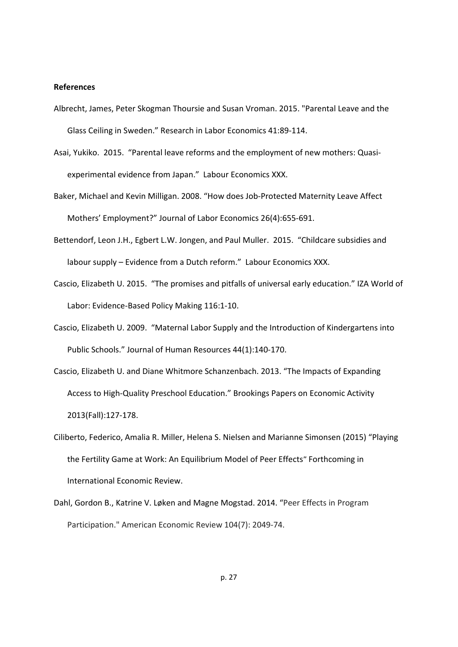#### **References**

- Albrecht, James, Peter Skogman Thoursie and Susan Vroman. 2015. "Parental Leave and the Glass Ceiling in Sweden." Research in Labor Economics 41:89‐114.
- Asai, Yukiko. 2015. "Parental leave reforms and the employment of new mothers: Quasi‐ experimental evidence from Japan." Labour Economics XXX.
- Baker, Michael and Kevin Milligan. 2008. "How does Job-Protected Maternity Leave Affect Mothers' Employment?" Journal of Labor Economics 26(4):655‐691.
- Bettendorf, Leon J.H., Egbert L.W. Jongen, and Paul Muller. 2015. "Childcare subsidies and labour supply – Evidence from a Dutch reform." Labour Economics XXX.
- Cascio, Elizabeth U. 2015. "The promises and pitfalls of universal early education." IZA World of Labor: Evidence‐Based Policy Making 116:1‐10.
- Cascio, Elizabeth U. 2009. "Maternal Labor Supply and the Introduction of Kindergartens into Public Schools." Journal of Human Resources 44(1):140‐170.
- Cascio, Elizabeth U. and Diane Whitmore Schanzenbach. 2013. "The Impacts of Expanding Access to High‐Quality Preschool Education." Brookings Papers on Economic Activity 2013(Fall):127‐178.
- Ciliberto, Federico, Amalia R. Miller, Helena S. Nielsen and Marianne Simonsen (2015) "Playing the Fertility Game at Work: An Equilibrium Model of Peer Effects" Forthcoming in International Economic Review.
- Dahl, Gordon B., Katrine V. Løken and Magne Mogstad. 2014. "Peer Effects in Program Participation." American Economic Review 104(7): 2049‐74.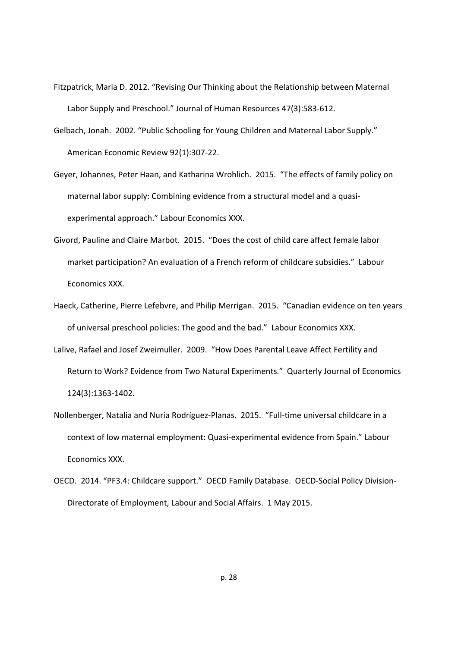- Fitzpatrick, Maria D. 2012. "Revising Our Thinking about the Relationship between Maternal Labor Supply and Preschool." Journal of Human Resources 47(3):583‐612.
- Gelbach, Jonah. 2002. "Public Schooling for Young Children and Maternal Labor Supply." American Economic Review 92(1):307‐22.
- Geyer, Johannes, Peter Haan, and Katharina Wrohlich. 2015. "The effects of family policy on maternal labor supply: Combining evidence from a structural model and a quasi‐ experimental approach." Labour Economics XXX.
- Givord, Pauline and Claire Marbot. 2015. "Does the cost of child care affect female labor market participation? An evaluation of a French reform of childcare subsidies." Labour Economics XXX.
- Haeck, Catherine, Pierre Lefebvre, and Philip Merrigan. 2015. "Canadian evidence on ten years of universal preschool policies: The good and the bad." Labour Economics XXX.
- Lalive, Rafael and Josef Zweimuller. 2009. "How Does Parental Leave Affect Fertility and Return to Work? Evidence from Two Natural Experiments." Quarterly Journal of Economics 124(3):1363‐1402.
- Nollenberger, Natalia and Nuria Rodríguez‐Planas. 2015. "Full‐time universal childcare in a context of low maternal employment: Quasi‐experimental evidence from Spain." Labour Economics XXX.
- OECD. 2014. "PF3.4: Childcare support." OECD Family Database. OECD‐Social Policy Division‐ Directorate of Employment, Labour and Social Affairs. 1 May 2015.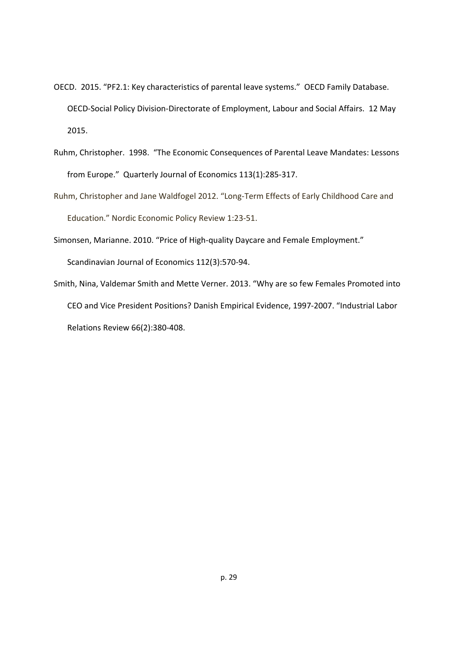- OECD. 2015. "PF2.1: Key characteristics of parental leave systems." OECD Family Database. OECD‐Social Policy Division‐Directorate of Employment, Labour and Social Affairs. 12 May 2015.
- Ruhm, Christopher. 1998. "The Economic Consequences of Parental Leave Mandates: Lessons from Europe." Quarterly Journal of Economics 113(1):285‐317.
- Ruhm, Christopher and Jane Waldfogel 2012. "Long‐Term Effects of Early Childhood Care and Education." Nordic Economic Policy Review 1:23‐51.
- Simonsen, Marianne. 2010. "Price of High-quality Daycare and Female Employment."

Scandinavian Journal of Economics 112(3):570‐94.

Smith, Nina, Valdemar Smith and Mette Verner. 2013. "Why are so few Females Promoted into CEO and Vice President Positions? Danish Empirical Evidence, 1997‐2007. "Industrial Labor Relations Review 66(2):380‐408.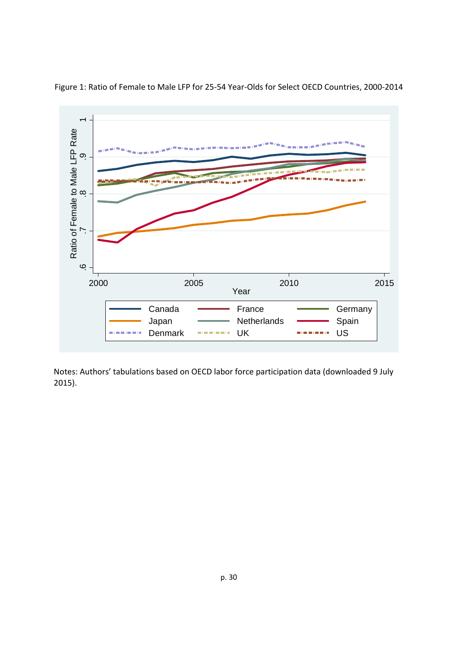

Figure 1: Ratio of Female to Male LFP for 25‐54 Year‐Olds for Select OECD Countries, 2000‐2014

Notes: Authors' tabulations based on OECD labor force participation data (downloaded 9 July 2015).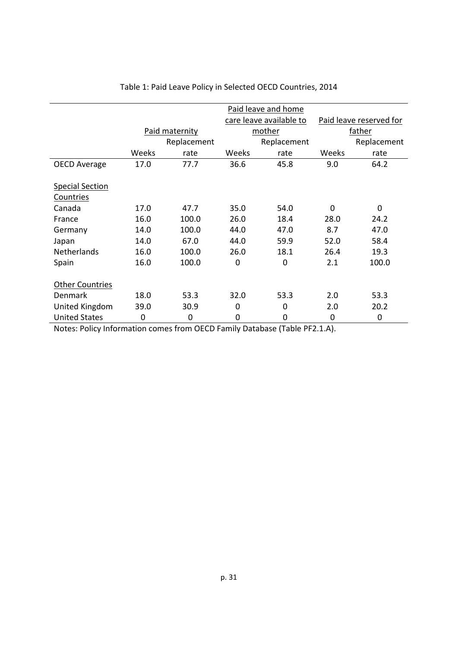|                        | Paid leave and home |             |                         |             |                         |             |  |
|------------------------|---------------------|-------------|-------------------------|-------------|-------------------------|-------------|--|
|                        |                     |             | care leave available to |             | Paid leave reserved for |             |  |
|                        | Paid maternity      |             | mother                  |             | father                  |             |  |
|                        |                     | Replacement |                         | Replacement |                         | Replacement |  |
|                        | Weeks               | rate        | Weeks                   | rate        | Weeks                   | rate        |  |
| <b>OECD Average</b>    | 17.0                | 77.7        | 36.6                    | 45.8        | 9.0                     | 64.2        |  |
|                        |                     |             |                         |             |                         |             |  |
| <b>Special Section</b> |                     |             |                         |             |                         |             |  |
| Countries              |                     |             |                         |             |                         |             |  |
| Canada                 | 17.0                | 47.7        | 35.0                    | 54.0        | $\Omega$                | $\mathbf 0$ |  |
| France                 | 16.0                | 100.0       | 26.0                    | 18.4        | 28.0                    | 24.2        |  |
| Germany                | 14.0                | 100.0       | 44.0                    | 47.0        | 8.7                     | 47.0        |  |
| Japan                  | 14.0                | 67.0        | 44.0                    | 59.9        | 52.0                    | 58.4        |  |
| <b>Netherlands</b>     | 16.0                | 100.0       | 26.0                    | 18.1        | 26.4                    | 19.3        |  |
| Spain                  | 16.0                | 100.0       | 0                       | 0           | 2.1                     | 100.0       |  |
|                        |                     |             |                         |             |                         |             |  |
| <b>Other Countries</b> |                     |             |                         |             |                         |             |  |
| <b>Denmark</b>         | 18.0                | 53.3        | 32.0                    | 53.3        | 2.0                     | 53.3        |  |
| United Kingdom         | 39.0                | 30.9        | 0                       | 0           | 2.0                     | 20.2        |  |
| <b>United States</b>   | $\mathbf 0$         | $\mathbf 0$ | 0                       | 0           | 0                       | $\mathbf 0$ |  |

Table 1: Paid Leave Policy in Selected OECD Countries, 2014

Notes: Policy Information comes from OECD Family Database (Table PF2.1.A).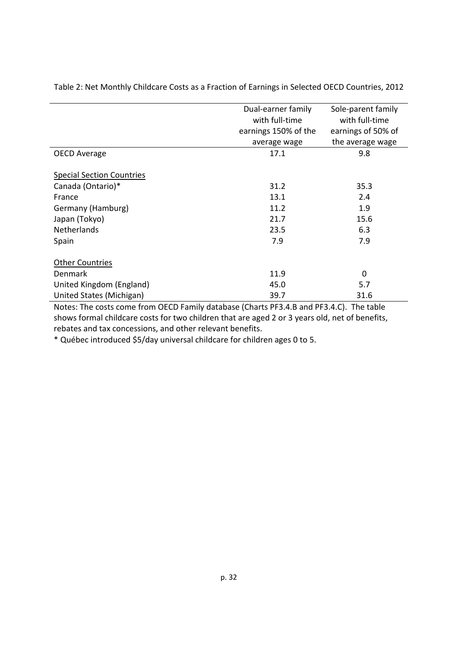|                                  | Dual-earner family   | Sole-parent family |  |
|----------------------------------|----------------------|--------------------|--|
|                                  | with full-time       | with full-time     |  |
|                                  | earnings 150% of the | earnings of 50% of |  |
|                                  | average wage         | the average wage   |  |
| <b>OECD Average</b>              | 17.1                 | 9.8                |  |
|                                  |                      |                    |  |
| <b>Special Section Countries</b> |                      |                    |  |
| Canada (Ontario)*                | 31.2                 | 35.3               |  |
| France                           | 13.1                 | 2.4                |  |
| Germany (Hamburg)                | 11.2                 | 1.9                |  |
| Japan (Tokyo)                    | 21.7                 | 15.6               |  |
| <b>Netherlands</b>               | 23.5                 | 6.3                |  |
| Spain                            | 7.9                  | 7.9                |  |
|                                  |                      |                    |  |
| <b>Other Countries</b>           |                      |                    |  |
| Denmark                          | 11.9                 | $\Omega$           |  |
| United Kingdom (England)         | 45.0                 | 5.7                |  |
| United States (Michigan)         | 39.7                 | 31.6               |  |

Table 2: Net Monthly Childcare Costs as a Fraction of Earnings in Selected OECD Countries, 2012

Notes: The costs come from OECD Family database (Charts PF3.4.B and PF3.4.C). The table shows formal childcare costs for two children that are aged 2 or 3 years old, net of benefits, rebates and tax concessions, and other relevant benefits.

\* Québec introduced \$5/day universal childcare for children ages 0 to 5.